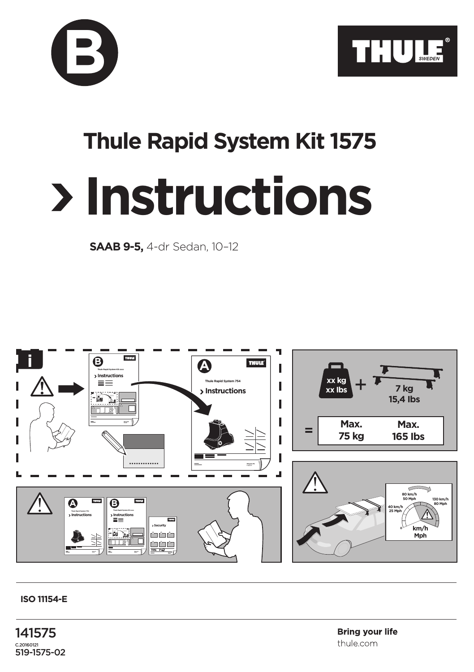



## **Thule Rapid System Kit 1575**

## **Instructions**

**SAAB 9-5,** 4-dr Sedan, 10–12



## **ISO 11154-E**

141575 C.20160121 519-1575-02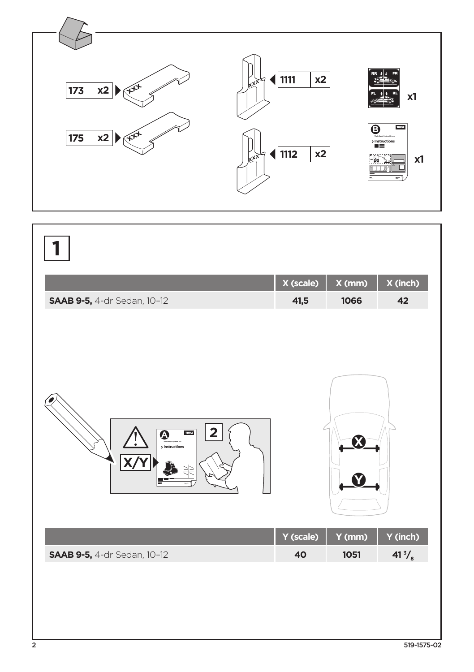

|                                                                          | X (scale) | X(mm)  | X (inch)        |
|--------------------------------------------------------------------------|-----------|--------|-----------------|
| <b>SAAB 9-5, 4-dr Sedan, 10-12</b>                                       | 41,5      | 1066   | 42              |
| 2<br>$\overline{\mathbf{Q}}$<br>THUM<br>$>$ Instructions<br>$\mathsf{X}$ |           |        |                 |
|                                                                          | Y (scale) | Y (mm) | Y (inch)        |
| <b>SAAB 9-5, 4-dr Sedan, 10-12</b>                                       | 40        | 1051   | $41\frac{3}{8}$ |
|                                                                          |           |        |                 |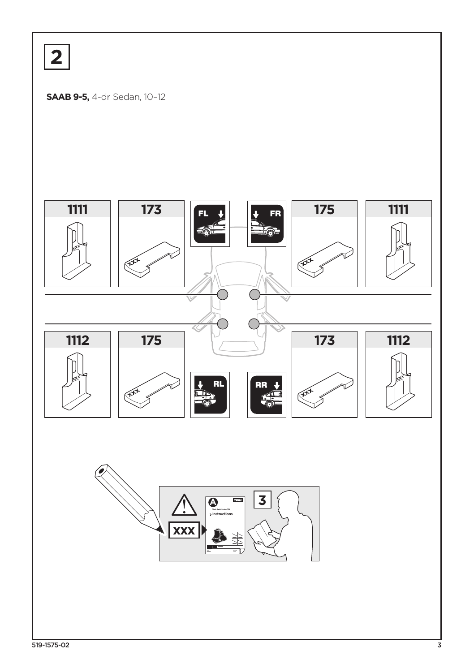